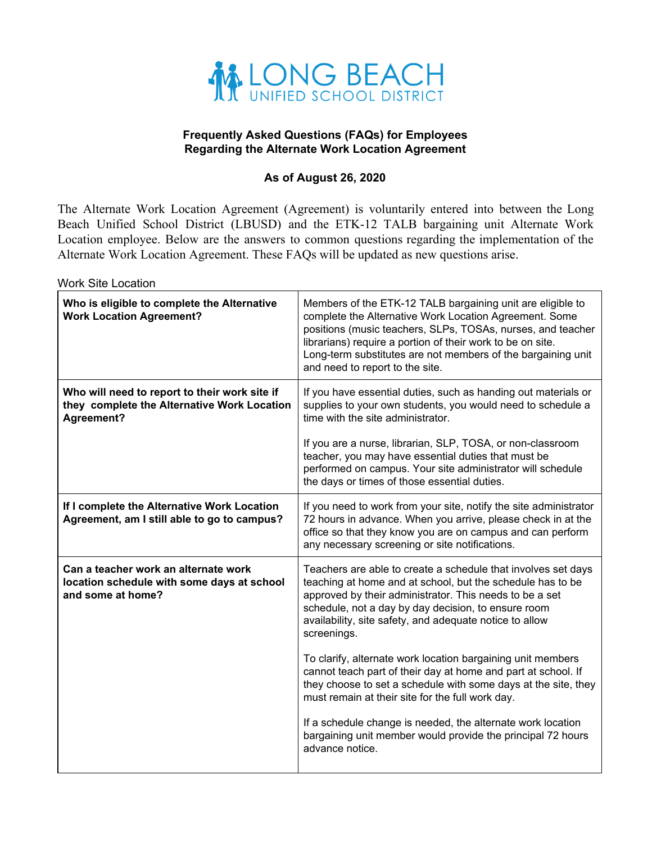

## **Frequently Asked Questions (FAQs) for Employees Regarding the Alternate Work Location Agreement**

## **As of August 26, 2020**

The Alternate Work Location Agreement (Agreement) is voluntarily entered into between the Long Beach Unified School District (LBUSD) and the ETK-12 TALB bargaining unit Alternate Work Location employee. Below are the answers to common questions regarding the implementation of the Alternate Work Location Agreement. These FAQs will be updated as new questions arise.

Work Site Location

| Who is eligible to complete the Alternative<br><b>Work Location Agreement?</b>                             | Members of the ETK-12 TALB bargaining unit are eligible to<br>complete the Alternative Work Location Agreement. Some<br>positions (music teachers, SLPs, TOSAs, nurses, and teacher<br>librarians) require a portion of their work to be on site.<br>Long-term substitutes are not members of the bargaining unit<br>and need to report to the site. |
|------------------------------------------------------------------------------------------------------------|------------------------------------------------------------------------------------------------------------------------------------------------------------------------------------------------------------------------------------------------------------------------------------------------------------------------------------------------------|
| Who will need to report to their work site if<br>they complete the Alternative Work Location<br>Agreement? | If you have essential duties, such as handing out materials or<br>supplies to your own students, you would need to schedule a<br>time with the site administrator.                                                                                                                                                                                   |
|                                                                                                            | If you are a nurse, librarian, SLP, TOSA, or non-classroom<br>teacher, you may have essential duties that must be<br>performed on campus. Your site administrator will schedule<br>the days or times of those essential duties.                                                                                                                      |
| If I complete the Alternative Work Location<br>Agreement, am I still able to go to campus?                 | If you need to work from your site, notify the site administrator<br>72 hours in advance. When you arrive, please check in at the<br>office so that they know you are on campus and can perform<br>any necessary screening or site notifications.                                                                                                    |
| Can a teacher work an alternate work<br>location schedule with some days at school<br>and some at home?    | Teachers are able to create a schedule that involves set days<br>teaching at home and at school, but the schedule has to be<br>approved by their administrator. This needs to be a set<br>schedule, not a day by day decision, to ensure room<br>availability, site safety, and adequate notice to allow<br>screenings.                              |
|                                                                                                            | To clarify, alternate work location bargaining unit members<br>cannot teach part of their day at home and part at school. If<br>they choose to set a schedule with some days at the site, they<br>must remain at their site for the full work day.                                                                                                   |
|                                                                                                            | If a schedule change is needed, the alternate work location<br>bargaining unit member would provide the principal 72 hours<br>advance notice.                                                                                                                                                                                                        |